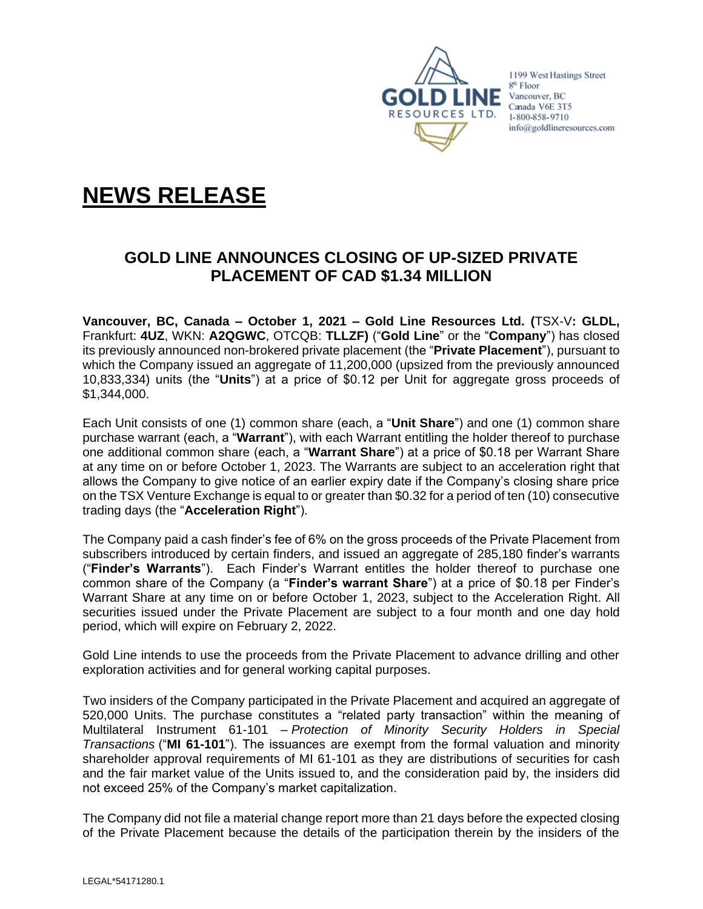

1199 West Hastings Street 8<sup>th</sup> Floor  $\blacksquare$  NE Vancouver, BC Canada V6E 3T5 1-800-858-9710 info@goldlineresources.com

# **NEWS RELEASE**

## **GOLD LINE ANNOUNCES CLOSING OF UP-SIZED PRIVATE PLACEMENT OF CAD \$1.34 MILLION**

**Vancouver, BC, Canada – October 1, 2021 – Gold Line Resources Ltd. (**TSX-V**: GLDL,**  Frankfurt: **4UZ**, WKN: **A2QGWC**, OTCQB: **TLLZF)** ("**Gold Line**" or the "**Company**") has closed its previously announced non-brokered private placement (the "**Private Placement**"), pursuant to which the Company issued an aggregate of 11,200,000 (upsized from the previously announced 10,833,334) units (the "**Units**") at a price of \$0.12 per Unit for aggregate gross proceeds of \$1,344,000.

Each Unit consists of one (1) common share (each, a "**Unit Share**") and one (1) common share purchase warrant (each, a "**Warrant**"), with each Warrant entitling the holder thereof to purchase one additional common share (each, a "**Warrant Share**") at a price of \$0.18 per Warrant Share at any time on or before October 1, 2023. The Warrants are subject to an acceleration right that allows the Company to give notice of an earlier expiry date if the Company's closing share price on the TSX Venture Exchange is equal to or greater than \$0.32 for a period of ten (10) consecutive trading days (the "**Acceleration Right**").

The Company paid a cash finder's fee of 6% on the gross proceeds of the Private Placement from subscribers introduced by certain finders, and issued an aggregate of 285,180 finder's warrants ("**Finder's Warrants**"). Each Finder's Warrant entitles the holder thereof to purchase one common share of the Company (a "**Finder's warrant Share**") at a price of \$0.18 per Finder's Warrant Share at any time on or before October 1, 2023, subject to the Acceleration Right. All securities issued under the Private Placement are subject to a four month and one day hold period, which will expire on February 2, 2022.

Gold Line intends to use the proceeds from the Private Placement to advance drilling and other exploration activities and for general working capital purposes.

Two insiders of the Company participated in the Private Placement and acquired an aggregate of 520,000 Units. The purchase constitutes a "related party transaction" within the meaning of Multilateral Instrument 61-101 – *Protection of Minority Security Holders in Special Transactions* ("**MI 61-101**"). The issuances are exempt from the formal valuation and minority shareholder approval requirements of MI 61-101 as they are distributions of securities for cash and the fair market value of the Units issued to, and the consideration paid by, the insiders did not exceed 25% of the Company's market capitalization.

The Company did not file a material change report more than 21 days before the expected closing of the Private Placement because the details of the participation therein by the insiders of the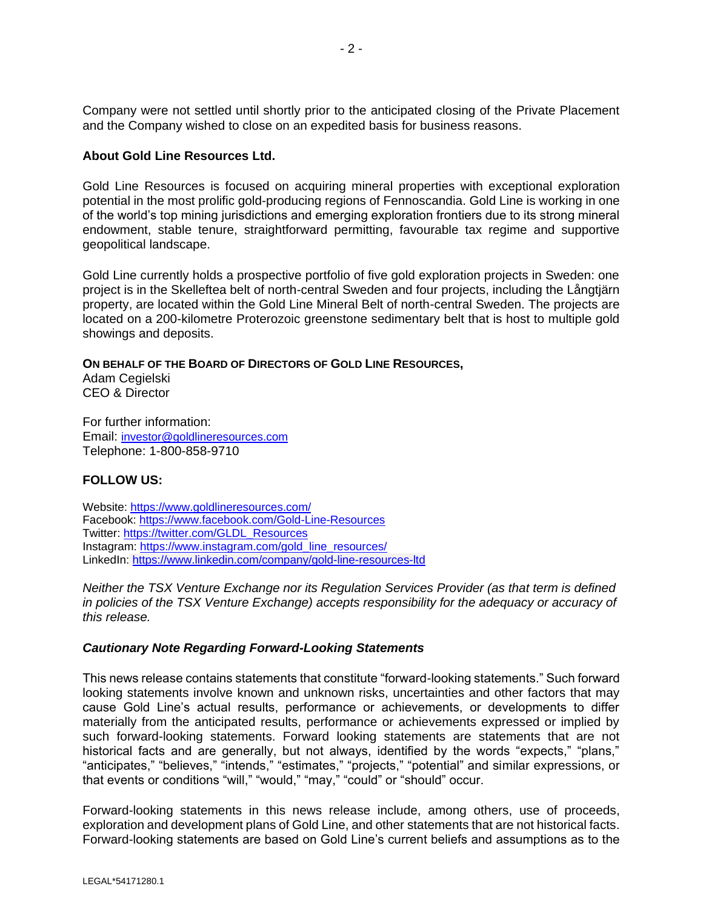Company were not settled until shortly prior to the anticipated closing of the Private Placement and the Company wished to close on an expedited basis for business reasons.

#### **About Gold Line Resources Ltd.**

Gold Line Resources is focused on acquiring mineral properties with exceptional exploration potential in the most prolific gold-producing regions of Fennoscandia. Gold Line is working in one of the world's top mining jurisdictions and emerging exploration frontiers due to its strong mineral endowment, stable tenure, straightforward permitting, favourable tax regime and supportive geopolitical landscape.

Gold Line currently holds a prospective portfolio of five gold exploration projects in Sweden: one project is in the Skelleftea belt of north-central Sweden and four projects, including the Långtjärn property, are located within the Gold Line Mineral Belt of north-central Sweden. The projects are located on a 200-kilometre Proterozoic greenstone sedimentary belt that is host to multiple gold showings and deposits.

**ON BEHALF OF THE BOARD OF DIRECTORS OF GOLD LINE RESOURCES,**

Adam Cegielski CEO & Director

For further information: Email: [investor@goldlineresources.com](mailto:investor@goldlineresources.com) Telephone: 1-800-858-9710

### **FOLLOW US:**

Website:<https://www.goldlineresources.com/> Facebook:<https://www.facebook.com/Gold-Line-Resources> Twitter: [https://twitter.com/GLDL\\_Resources](https://twitter.com/GLDL_Resources) Instagram: [https://www.instagram.com/gold\\_line\\_resources/](https://www.instagram.com/gold_line_resources/) LinkedIn: <https://www.linkedin.com/company/gold-line-resources-ltd>

*Neither the TSX Venture Exchange nor its Regulation Services Provider (as that term is defined in policies of the TSX Venture Exchange) accepts responsibility for the adequacy or accuracy of this release.*

#### *Cautionary Note Regarding Forward-Looking Statements*

This news release contains statements that constitute "forward-looking statements." Such forward looking statements involve known and unknown risks, uncertainties and other factors that may cause Gold Line's actual results, performance or achievements, or developments to differ materially from the anticipated results, performance or achievements expressed or implied by such forward-looking statements. Forward looking statements are statements that are not historical facts and are generally, but not always, identified by the words "expects," "plans," "anticipates," "believes," "intends," "estimates," "projects," "potential" and similar expressions, or that events or conditions "will," "would," "may," "could" or "should" occur.

Forward-looking statements in this news release include, among others, use of proceeds, exploration and development plans of Gold Line, and other statements that are not historical facts. Forward-looking statements are based on Gold Line's current beliefs and assumptions as to the